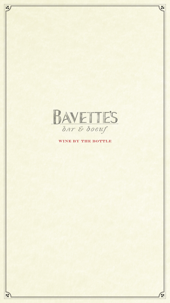

Lé

 $\mathbf{y}$ 

WINE BY THE BOTTLE

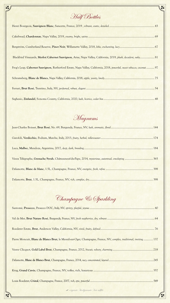

Half Bottles

 $\sum_{i=1}^{n}$ 

| Blackbird Vineyards, Merlot/Cabernet Sauvignon, Arise, Napa Valley, California, 2019, plush, decadent, oaky 81          |
|-------------------------------------------------------------------------------------------------------------------------|
| Frog's Leap, Cabernet Sauvignon, Rutherford Estate, Napa Valley, California, 2018, powerful, sweet tobacco, coconut  97 |
|                                                                                                                         |
|                                                                                                                         |
|                                                                                                                         |
|                                                                                                                         |
| Magnums                                                                                                                 |

Jean-Charles Boisset, Brut Rosé, No. 69, Burgundy, France, NV, *lush, aromatic, floral*.......................................................... 144

Garofoli, Verdicchio, Podium, Marche, Italy, 2013, *fruity, herbal, rollercoaster*........................................................................ 174

Lé

| Champagne & Sparkling                                                                                                |
|----------------------------------------------------------------------------------------------------------------------|
|                                                                                                                      |
|                                                                                                                      |
|                                                                                                                      |
| Pierre Moncuit, Blanc de Blancs Brut, le Mesnil-sur-Oger, Champagne, France, NV, complex, traditional, inviting  137 |
|                                                                                                                      |
|                                                                                                                      |
|                                                                                                                      |
|                                                                                                                      |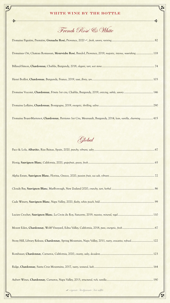

# WHITE WINE BY THE BOTTLE French Rosé & White Domaine Figuière, Première, Grenache Rosé, Provence, 2020 , *fresh, savory, reviving*........................................................... 82 Domaines Ott, Chateau Romassan, Mourvèdre Rosé, Bandol, Provence, 2019, *majestic, intense, nourishing* ....................... 118 Billaud-Simon, Chardonnay, Chablis, Burgundy, 2018, *elegant, tart, wet stone*........................................................................ 74 Henri Boillot, Chardonnay, Burgundy, France, 2019, *taut, flinty, zen*.................................................................................... 103 Domaine Vocoret, Chardonnay, Fôrets 1er cru, Chablis, Burgundy, 2019, *enticing, subtle, savory*........................................ 146 Domaine Leflaive, Chardonnay, Bourgogne, 2019, *energetic, thrilling, saline*.......................................................................... 290 Domaine Boyer-Martenot, Chardonnay, Perrieres 1er Cru, Meursault, Burgundy, 2014, *lean, vanilla, charming*................. 415

Global

| Stony Hill, Library Release, Chardonnay, Spring Mountain, Napa Valley, 2011, nutty, evocative, refined 122 |
|------------------------------------------------------------------------------------------------------------|
|                                                                                                            |
|                                                                                                            |
|                                                                                                            |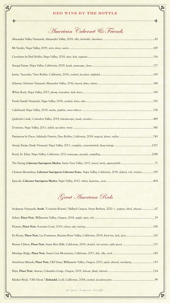

| Chateau Montelena, Cabernet Sauvignon/Cabernet Franc, Napa Valley, California, 2018, defined, rich, timeless 195 |  |
|------------------------------------------------------------------------------------------------------------------|--|
|                                                                                                                  |  |

Great American Reds

| Stolpman Vineyards, Syrah, "Crunchy Rôastie," Ballard Canyon, Santa Barbara, 2020 &, peppery, lifted, ethereal  67 |
|--------------------------------------------------------------------------------------------------------------------|
|                                                                                                                    |
|                                                                                                                    |
| En Route, Pinot Noir, Les Pommiers, Russian River Valley, California, 2019, dried rose, lush, juicy 120            |
|                                                                                                                    |
|                                                                                                                    |
| Arterberry Maresh, Pinot Noir, Old Vines, Willamette Valley, Oregon, 2017, sapid, ethereal, enveloping 153         |
|                                                                                                                    |
|                                                                                                                    |

### RED WINE BY THE BOTTLE

 $\frac{1}{2}$ 

American Cabernet & Friends